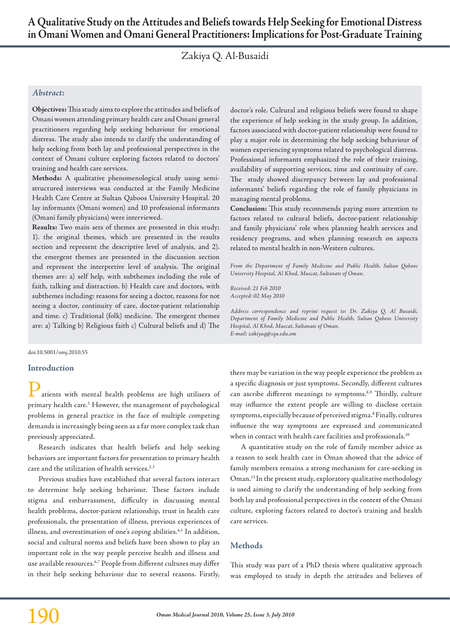Zakiya Q. Al-Busaidi

# *Abstract:*

**Objectives:** This study aims to explore the attitudes and beliefs of Omani women attending primary health care and Omani general practitioners regarding help seeking behaviour for emotional distress. The study also intends to clarify the understanding of help seeking from both lay and professional perspectives in the context of Omani culture exploring factors related to doctors' training and health care services.

**Methods:** A qualitative phenomenological study using semistructured interviews was conducted at the Family Medicine Health Care Centre at Sultan Qaboos University Hospital. 20 lay informants (Omani women) and 10 professional informants (Omani family physicians) were interviewed.

**Results:** Two main sets of themes are presented in this study; 1). the original themes, which are presented in the results section and represent the descriptive level of analysis, and 2). the emergent themes are presented in the discussion section and represent the interpretive level of analysis. The original themes are: a) self help, with subthemes including the role of faith, talking and distraction. b) Health care and doctors, with subthemes including: reasons for seeing a doctor, reasons for not seeing a doctor, continuity of care, doctor-patient relationship and time. c) Traditional (folk) medicine. The emergent themes are: a) Talking b) Religious faith c) Cultural beliefs and d) The

doi:10.5001/omj.2010.55

### **Introduction**

atients with mental health problems are high utilisers of primary health care.<sup>1</sup> However, the management of psychological problems in general practice in the face of multiple competing demands is increasingly being seen as a far more complex task than previously appreciated.

Research indicates that health beliefs and help seeking behaviors are important factors for presentation to primary health care and the utilization of health services.<sup>2,3</sup>

Previous studies have established that several factors interact to determine help seeking behaviour. These factors include stigma and embarrassment, difficulty in discussing mental health problems, doctor-patient relationship, trust in health care professionals, the presentation of illness, previous experiences of illness, and overestimation of one's coping abilities.<sup>4,5</sup> In addition, social and cultural norms and beliefs have been shown to play an important role in the way people perceive health and illness and use available resources.6,7 People from different cultures may differ in their help seeking behaviour due to several reasons. Firstly, doctor's role. Cultural and religious beliefs were found to shape the experience of help seeking in the study group. In addition, factors associated with doctor-patient relationship were found to play a major role in determining the help seeking behaviour of women experiencing symptoms related to psychological distress. Professional informants emphasized the role of their training, availability of supporting services, time and continuity of care. The study showed discrepancy between lay and professional informants' beliefs regarding the role of family physicians in managing mental problems.

**Conclusion:** This study recommends paying more attention to factors related to cultural beliefs, doctor-patient relationship and family physicians' role when planning health services and residency programs, and when planning research on aspects related to mental health in non-Western cultures.

*From the Department of Family Medicine and Public Health, Sultan Qaboos University Hospital, Al Khod, Muscat, Sultanate of Oman.*

*Received: 21 Feb 2010 Accepted: 02 May 2010*

*Address correspondence and reprint request to: Dr. Zakiya Q. Al Busaidi, Department of Family Medicine and Public Health, Sultan Qaboos University Hospital, Al Khod, Muscat, Sultanate of Oman. E-mail: zakiyaq@squ.edu.om*

there may be variation in the way people experience the problem as a specific diagnosis or just symptoms. Secondly, different cultures can ascribe different meanings to symptoms.<sup>8,9</sup> Thirdly, culture may influence the extent people are willing to disclose certain symptoms, especially because of perceived stigma.<sup>8</sup> Finally, cultures influence the way symptoms are expressed and communicated when in contact with health care facilities and professionals.<sup>10</sup>

A quantitative study on the role of family member advice as a reason to seek health care in Oman showed that the advice of family members remains a strong mechanism for care-seeking in Oman.11 In the present study, exploratory qualitative methodology is used aiming to clarify the understanding of help seeking from both lay and professional perspectives in the context of the Omani culture, exploring factors related to doctor's training and health care services.

# **Methods**

This study was part of a PhD thesis where qualitative approach was employed to study in depth the attitudes and believes of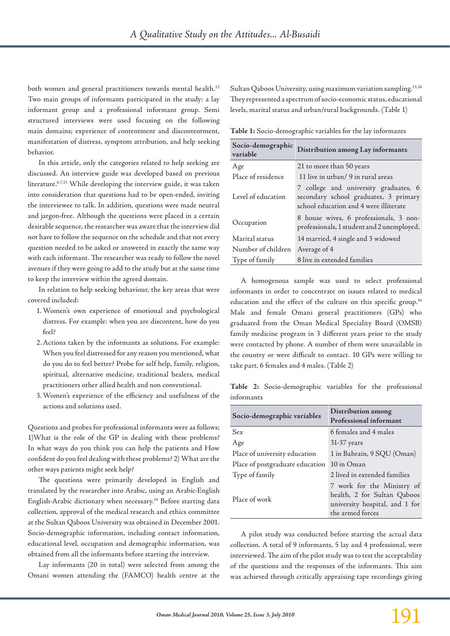both women and general practitioners towards mental health.<sup>12</sup> Two main groups of informants participated in the study: a lay informant group and a professional informant group. Semi structured interviews were used focusing on the following main domains; experience of contentment and discontentment, manifestation of distress, symptom attribution, and help seeking behavior.

In this article, only the categories related to help seeking are discussed. An interview guide was developed based on previous literature.6,7,13 While developing the interview guide, it was taken into consideration that questions had to be open-ended, inviting the interviewee to talk. In addition, questions were made neutral and jargon-free. Although the questions were placed in a certain desirable sequence, the researcher was aware that the interview did not have to follow the sequence on the schedule and that not every question needed to be asked or answered in exactly the same way with each informant. The researcher was ready to follow the novel avenues if they were going to add to the study but at the same time to keep the interview within the agreed domain.

In relation to help seeking behaviour, the key areas that were covered included:

- 1.Women's own experience of emotional and psychological distress. For example: when you are discontent, how do you feel?
- 2.Actions taken by the informants as solutions. For example: When you feel distressed for any reason you mentioned, what do you do to feel better? Probe for self help, family, religion, spiritual, alternative medicine, traditional healers, medical practitioners other allied health and non conventional.
- 3.Women's experience of the efficiency and usefulness of the actions and solutions used.

Questions and probes for professional informants were as follows; 1)What is the role of the GP in dealing with these problems? In what ways do you think you can help the patients and How confident do you feel dealing with these problems? 2) What are the other ways patients might seek help?

The questions were primarily developed in English and translated by the researcher into Arabic, using an Arabic-English English-Arabic dictionary when necessary.14 Before starting data collection, approval of the medical research and ethics committee at the Sultan Qaboos University was obtained in December 2001. Socio-demographic information, including contact information, educational level, occupation and demographic information, was obtained from all the informants before starting the interview.

Lay informants (20 in total) were selected from among the Omani women attending the (FAMCO) health centre at the Sultan Qaboos University, using maximum variation sampling.15,16 They represented a spectrum of socio-economic status, educational levels, marital status and urban/rural backgrounds. (Table 1)

**Table 1:** Socio-demographic variables for the lay informants

| Socio-demographic<br>variable | Distribution among Lay informants                                                                                        |  |
|-------------------------------|--------------------------------------------------------------------------------------------------------------------------|--|
| Age                           | 21 to more than 50 years                                                                                                 |  |
| Place of residence            | 11 live in urban/ 9 in rural areas                                                                                       |  |
| Level of education            | 7 college and university graduates, 6<br>secondary school graduates, 3 primary<br>school education and 4 were illiterate |  |
| Occupation                    | 8 house wives, 6 professionals, 3 non-<br>professionals, 1 student and 2 unemployed.                                     |  |
| Marital status                | 14 married, 4 single and 3 widowed                                                                                       |  |
| Number of children            | Average of 4                                                                                                             |  |
| Type of family                | 8 live in extended families                                                                                              |  |

A homogenous sample was used to select professional informants in order to concentrate on issues related to medical education and the effect of the culture on this specific group.<sup>16</sup> Male and female Omani general practitioners (GPs) who graduated from the Oman Medical Speciality Board (OMSB) family medicine program in 3 different years prior to the study were contacted by phone. A number of them were unavailable in the country or were difficult to contact. 10 GPs were willing to take part, 6 females and 4 males. (Table 2)

**Table 2:** Socio-demographic variables for the professional informants

| Socio-demographic variables     | Distribution among<br>Professional informant                                                                    |  |
|---------------------------------|-----------------------------------------------------------------------------------------------------------------|--|
| Sex                             | 6 females and 4 males                                                                                           |  |
| Age                             | $31-37$ years                                                                                                   |  |
| Place of university education   | 1 in Bahrain, 9 SQU (Oman)                                                                                      |  |
| Place of postgraduate education | 10 in Oman                                                                                                      |  |
| Type of family                  | 2 lived in extended families                                                                                    |  |
| Place of work                   | 7 work for the Ministry of<br>health, 2 for Sultan Qaboos<br>university hospital, and 1 for<br>the armed forces |  |

A pilot study was conducted before starting the actual data collection. A total of 9 informants, 5 lay and 4 professional, were interviewed. The aim of the pilot study was to test the acceptability of the questions and the responses of the informants. This aim was achieved through critically appraising tape recordings giving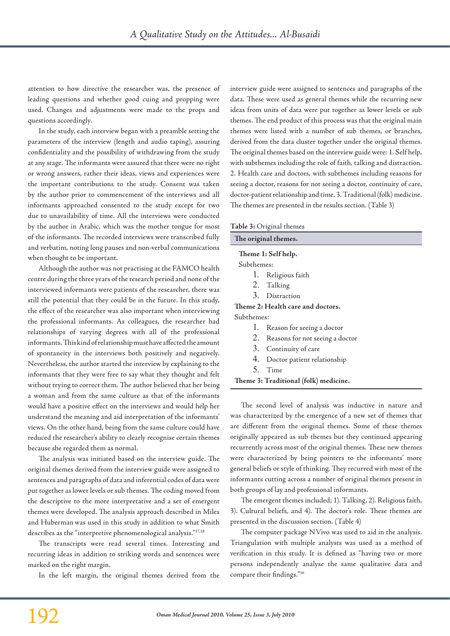attention to how directive the researcher was, the presence of leading questions and whether good cuing and propping were used. Changes and adjustments were made to the props and questions accordingly.

In the study, each interview began with a preamble setting the parameters of the interview (length and audio taping), assuring confidentiality and the possibility of withdrawing from the study at any stage. The informants were assured that there were no right or wrong answers, rather their ideas, views and experiences were the important contributions to the study. Consent was taken by the author prior to commencement of the interviews and all informants approached consented to the study except for two due to unavailability of time. All the interviews were conducted by the author in Arabic, which was the mother tongue for most of the informants. The recorded interviews were transcribed fully and verbatim, noting long pauses and non-verbal communications when thought to be important.

Although the author was not practising at the FAMCO health centre during the three years of the research period and none of the interviewed informants were patients of the researcher, there was still the potential that they could be in the future. In this study, the effect of the researcher was also important when interviewing the professional informants. As colleagues, the researcher had relationships of varying degrees with all of the professional informants. This kind of relationship must have affected the amount of spontaneity in the interviews both positively and negatively. Nevertheless, the author started the interview by explaining to the informants that they were free to say what they thought and felt without trying to correct them. The author believed that her being a woman and from the same culture as that of the informants would have a positive effect on the interviews and would help her understand the meaning and aid interpretation of the informants' views. On the other hand, being from the same culture could have reduced the researcher's ability to clearly recognise certain themes because she regarded them as normal.

The analysis was initiated based on the interview guide. The original themes derived from the interview guide were assigned to sentences and paragraphs of data and inferential codes of data were put together as lower levels or sub themes. The coding moved from the descriptive to the more interpretative and a set of emergent themes were developed. The analysis approach described in Miles and Hubermanwas used in this study in addition to what Smith describes as the "interpretive phenomenological analysis."17,18

The transcripts were read several times. Interesting and recurring ideas in addition to striking words and sentences were marked on the right margin.

In the left margin, the original themes derived from the

interview guide were assigned to sentences and paragraphs of the data. These were used as general themes while the recurring new ideas from units of data were put together as lower levels or sub themes. The end product of this process was that the original main themes were listed with a number of sub themes, or branches, derived from the data cluster together under the original themes. The original themes based on the interview guide were: 1. Self help, with subthemes including the role of faith, talking and distraction. 2. Health care and doctors, with subthemes including reasons for seeing a doctor, reasons for not seeing a doctor, continuity of care, doctor-patient relationship and time. 3. Traditional (folk) medicine. The themes are presented in the results section. (Table 3)

#### **Table 3:** Original themes

| The original themes.              |                                          |  |
|-----------------------------------|------------------------------------------|--|
| Theme 1: Self help.               |                                          |  |
| Subthemes:                        |                                          |  |
|                                   | 1. Religious faith                       |  |
|                                   | 2. Talking                               |  |
|                                   | 3. Distraction                           |  |
| Theme 2: Health care and doctors. |                                          |  |
| Subthemes:                        |                                          |  |
| $\mathbf{I}$ .                    | Reason for seeing a doctor               |  |
|                                   | 2. Reasons for not seeing a doctor       |  |
|                                   | 3. Continuity of care                    |  |
|                                   | 4. Doctor patient relationship           |  |
| 5                                 | Time                                     |  |
| 'nн                               | $\sim$ T $\sim$ 1/0 11 $\sim$ 10 $\cdot$ |  |

#### **Theme 3: Traditional (folk) medicine.**

The second level of analysis was inductive in nature and was characterized by the emergence of a new set of themes that are different from the original themes. Some of these themes originally appeared as sub themes but they continued appearing recurrently across most of the original themes. These new themes were characterized by being pointers to the informants' more general beliefs or style of thinking. They recurred with most of the informants cutting across a number of original themes present in both groups of lay and professional informants.

The emergent themes included; 1). Talking, 2). Religious faith, 3). Cultural beliefs, and 4). The doctor's role. These themes are presented in the discussion section. (Table 4)

The computer package NVivo was used to aid in the analysis. Triangulation with multiple analysts was used as a method of verification in this study. It is defined as "having two or more persons independently analyse the same qualitative data and compare their findings."16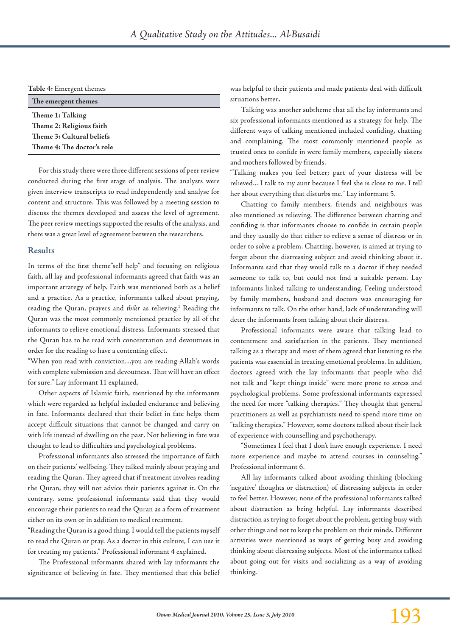**Table 4:** Emergent themes

| The emergent themes        |  |
|----------------------------|--|
| Theme 1: Talking           |  |
| Theme 2: Religious faith   |  |
| Theme 3: Cultural beliefs  |  |
| Theme 4: The doctor's role |  |

For this study there were three different sessions of peer review conducted during the first stage of analysis. The analysts were given interview transcripts to read independently and analyse for content and structure. This was followed by a meeting session to discuss the themes developed and assess the level of agreement. The peer review meetings supported the results of the analysis, and there was a great level of agreement between the researchers.

# **Results**

In terms of the first theme"self help" and focusing on religious faith, all lay and professional informants agreed that faith was an important strategy of help. Faith was mentioned both as a belief and a practice. As a practice, informants talked about praying, reading the Quran, prayers and *thikr* as relieving.<sup>1</sup> Reading the Quran was the most commonly mentioned practice by all of the informants to relieve emotional distress. Informants stressed that the Quran has to be read with concentration and devoutness in order for the reading to have a contenting effect.

"When you read with conviction…you are reading Allah's words with complete submission and devoutness. That will have an effect for sure." Lay informant 11 explained.

Other aspects of Islamic faith, mentioned by the informants which were regarded as helpful included endurance and believing in fate. Informants declared that their belief in fate helps them accept difficult situations that cannot be changed and carry on with life instead of dwelling on the past. Not believing in fate was thought to lead to difficulties and psychological problems.

Professional informants also stressed the importance of faith on their patients' wellbeing. They talked mainly about praying and reading the Quran. They agreed that if treatment involves reading the Quran, they will not advice their patients against it. On the contrary, some professional informants said that they would encourage their patients to read the Quran as a form of treatment either on its own or in addition to medical treatment.

"Reading the Quran is a good thing. I would tell the patients myself to read the Quran or pray. As a doctor in this culture, I can use it for treating my patients." Professional informant 4 explained.

The Professional informants shared with lay informants the significance of believing in fate. They mentioned that this belief was helpful to their patients and made patients deal with difficult situations better**.**

Talking was another subtheme that all the lay informants and six professional informants mentioned as a strategy for help. The different ways of talking mentioned included confiding, chatting and complaining. The most commonly mentioned people as trusted ones to confide in were family members, especially sisters and mothers followed by friends.

"Talking makes you feel better; part of your distress will be relieved... I talk to my aunt because I feel she is close to me. I tell her about everything that disturbs me." Lay informant 5.

Chatting to family members, friends and neighbours was also mentioned as relieving. The difference between chatting and confiding is that informants choose to confide in certain people and they usually do that either to relieve a sense of distress or in order to solve a problem. Chatting, however, is aimed at trying to forget about the distressing subject and avoid thinking about it. Informants said that they would talk to a doctor if they needed someone to talk to, but could not find a suitable person. Lay informants linked talking to understanding. Feeling understood by family members, husband and doctors was encouraging for informants to talk. On the other hand, lack of understanding will deter the informants from talking about their distress.

Professional informants were aware that talking lead to contentment and satisfaction in the patients. They mentioned talking as a therapy and most of them agreed that listening to the patients was essential in treating emotional problems. In addition, doctors agreed with the lay informants that people who did not talk and "kept things inside" were more prone to stress and psychological problems. Some professional informants expressed the need for more "talking therapies." They thought that general practitioners as well as psychiatrists need to spend more time on "talking therapies." However, some doctors talked about their lack of experience with counselling and psychotherapy.

"Sometimes I feel that I don't have enough experience. I need more experience and maybe to attend courses in counseling." Professional informant 6.

All lay informants talked about avoiding thinking (blocking 'negative' thoughts or distraction) of distressing subjects in order to feel better. However, none of the professional informants talked about distraction as being helpful. Lay informants described distraction as trying to forget about the problem, getting busy with other things and not to keep the problem on their minds. Different activities were mentioned as ways of getting busy and avoiding thinking about distressing subjects. Most of the informants talked about going out for visits and socializing as a way of avoiding thinking.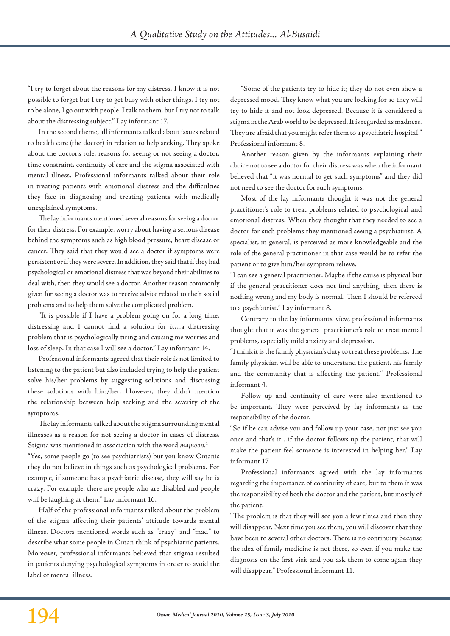"I try to forget about the reasons for my distress. I know it is not possible to forget but I try to get busy with other things. I try not to be alone, I go out with people. I talk to them, but I try not to talk about the distressing subject." Lay informant 17.

In the second theme, all informants talked about issues related to health care (the doctor) in relation to help seeking. They spoke about the doctor's role, reasons for seeing or not seeing a doctor, time constraint, continuity of care and the stigma associated with mental illness. Professional informants talked about their role in treating patients with emotional distress and the difficulties they face in diagnosing and treating patients with medically unexplained symptoms.

The lay informants mentioned several reasons for seeing a doctor for their distress. For example, worry about having a serious disease behind the symptoms such as high blood pressure, heart disease or cancer. They said that they would see a doctor if symptoms were persistent or if they were severe. In addition, they said that if they had psychological or emotional distress that was beyond their abilities to deal with, then they would see a doctor. Another reason commonly given for seeing a doctor was to receive advice related to their social problems and to help them solve the complicated problem.

"It is possible if I have a problem going on for a long time, distressing and I cannot find a solution for it…a distressing problem that is psychologically tiring and causing me worries and loss of sleep. In that case I will see a doctor." Lay informant 14.

Professional informants agreed that their role is not limited to listening to the patient but also included trying to help the patient solve his/her problems by suggesting solutions and discussing these solutions with him/her. However, they didn't mention the relationship between help seeking and the severity of the symptoms.

The lay informants talked about the stigma surrounding mental illnesses as a reason for not seeing a doctor in cases of distress. Stigma was mentioned in association with the word *majnoon.*<sup>1</sup>

"Yes, some people go (to see psychiatrists) but you know Omanis they do not believe in things such as psychological problems. For example, if someone has a psychiatric disease, they will say he is crazy. For example, there are people who are disabled and people will be laughing at them." Lay informant 16.

Half of the professional informants talked about the problem of the stigma affecting their patients' attitude towards mental illness. Doctors mentioned words such as "crazy" and "mad" to describe what some people in Oman think of psychiatric patients. Moreover, professional informants believed that stigma resulted in patients denying psychological symptoms in order to avoid the label of mental illness.

"Some of the patients try to hide it; they do not even show a depressed mood. They know what you are looking for so they will try to hide it and not look depressed. Because it is considered a stigma in the Arab world to be depressed. It is regarded as madness. They are afraid that you might refer them to a psychiatric hospital." Professional informant 8.

Another reason given by the informants explaining their choice not to see a doctor for their distress was when the informant believed that "it was normal to get such symptoms" and they did not need to see the doctor for such symptoms.

Most of the lay informants thought it was not the general practitioner's role to treat problems related to psychological and emotional distress. When they thought that they needed to see a doctor for such problems they mentioned seeing a psychiatrist. A specialist, in general, is perceived as more knowledgeable and the role of the general practitioner in that case would be to refer the patient or to give him/her symptom relieve.

"I can see a general practitioner. Maybe if the cause is physical but if the general practitioner does not find anything, then there is nothing wrong and my body is normal. Then I should be refereed to a psychiatrist." Lay informant 8.

Contrary to the lay informants' view, professional informants thought that it was the general practitioner's role to treat mental problems, especially mild anxiety and depression.

"I think it is the family physician's duty to treat these problems. The family physician will be able to understand the patient, his family and the community that is affecting the patient." Professional informant 4.

Follow up and continuity of care were also mentioned to be important. They were perceived by lay informants as the responsibility of the doctor.

"So if he can advise you and follow up your case, not just see you once and that's it…if the doctor follows up the patient, that will make the patient feel someone is interested in helping her." Lay informant 17.

Professional informants agreed with the lay informants regarding the importance of continuity of care, but to them it was the responsibility of both the doctor and the patient, but mostly of the patient.

"The problem is that they will see you a few times and then they will disappear. Next time you see them, you will discover that they have been to several other doctors. There is no continuity because the idea of family medicine is not there, so even if you make the diagnosis on the first visit and you ask them to come again they will disappear." Professional informant 11.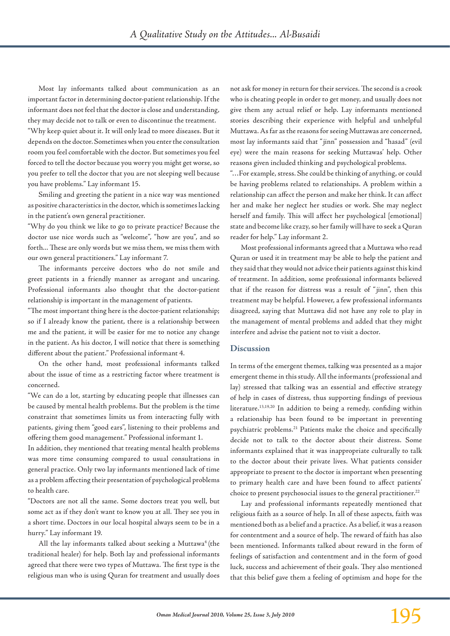Most lay informants talked about communication as an important factor in determining doctor-patient relationship. If the informant does not feel that the doctor is close and understanding, they may decide not to talk or even to discontinue the treatment. "Why keep quiet about it. It will only lead to more diseases. But it depends on the doctor. Sometimes when you enter the consultation room you feel comfortable with the doctor. But sometimes you feel forced to tell the doctor because you worry you might get worse, so you prefer to tell the doctor that you are not sleeping well because you have problems." Lay informant 15.

Smiling and greeting the patient in a nice way was mentioned as positive characteristics in the doctor, which is sometimes lacking in the patient's own general practitioner.

"Why do you think we like to go to private practice? Because the doctor use nice words such as "welcome", "how are you", and so forth... These are only words but we miss them, we miss them with our own general practitioners." Lay informant 7.

The informants perceive doctors who do not smile and greet patients in a friendly manner as arrogant and uncaring. Professional informants also thought that the doctor-patient relationship is important in the management of patients.

"The most important thing here is the doctor-patient relationship; so if I already know the patient, there is a relationship between me and the patient, it will be easier for me to notice any change in the patient. As his doctor, I will notice that there is something different about the patient." Professional informant 4.

On the other hand, most professional informants talked about the issue of time as a restricting factor where treatment is concerned.

"We can do a lot, starting by educating people that illnesses can be caused by mental health problems. But the problem is the time constraint that sometimes limits us from interacting fully with patients, giving them "good ears", listening to their problems and offering them good management." Professional informant 1.

In addition, they mentioned that treating mental health problems was more time consuming compared to usual consultations in general practice. Only two lay informants mentioned lack of time as a problem affecting their presentation of psychological problems to health care.

"Doctors are not all the same. Some doctors treat you well, but some act as if they don't want to know you at all. They see you in a short time. Doctors in our local hospital always seem to be in a hurry." Lay informant 19.

All the lay informants talked about seeking a Muttawa<sup>4</sup> (the traditional healer) for help. Both lay and professional informants agreed that there were two types of Muttawa. The first type is the religious man who is using Quran for treatment and usually does

not ask for money in return for their services. The second is a crook who is cheating people in order to get money, and usually does not give them any actual relief or help. Lay informants mentioned stories describing their experience with helpful and unhelpful Muttawa. As far as the reasons for seeing Muttawas are concerned, most lay informants said that " jinn" possession and "hasad" (evil eye) were the main reasons for seeking Muttawas' help. Other reasons given included thinking and psychological problems.

"…For example, stress. She could be thinking of anything, or could be having problems related to relationships. A problem within a relationship can affect the person and make her think. It can affect her and make her neglect her studies or work. She may neglect herself and family. This will affect her psychological [emotional] state and become like crazy, so her family will have to seek a Quran reader for help." Lay informant 2.

Most professional informants agreed that a Muttawa who read Quran or used it in treatment may be able to help the patient and they said that they would not advice their patients against this kind of treatment. In addition, some professional informants believed that if the reason for distress was a result of " jinn", then this treatment may be helpful. However, a few professional informants disagreed, saying that Muttawa did not have any role to play in the management of mental problems and added that they might interfere and advise the patient not to visit a doctor.

# **Discussion**

In terms of the emergent themes, talking was presented as a major emergent theme in this study. All the informants (professional and lay) stressed that talking was an essential and effective strategy of help in cases of distress, thus supporting findings of previous literature.13,19,20 In addition to being a remedy, confiding within a relationship has been found to be important in preventing psychiatric problems.21 Patients make the choice and specifically decide not to talk to the doctor about their distress. Some informants explained that it was inappropriate culturally to talk to the doctor about their private lives. What patients consider appropriate to present to the doctor is important when presenting to primary health care and have been found to affect patients' choice to present psychosocial issues to the general practitioner.<sup>22</sup>

Lay and professional informants repeatedly mentioned that religious faith as a source of help. In all of these aspects, faith was mentioned both as a belief and a practice. As a belief, it was a reason for contentment and a source of help. The reward of faith has also been mentioned. Informants talked about reward in the form of feelings of satisfaction and contentment and in the form of good luck, success and achievement of their goals. They also mentioned that this belief gave them a feeling of optimism and hope for the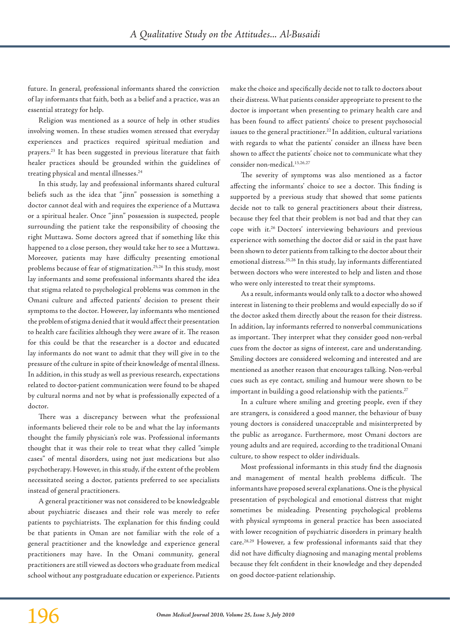future. In general, professional informants shared the conviction of lay informants that faith, both as a belief and a practice, was an essential strategy for help.

Religion was mentioned as a source of help in other studies involving women. In these studies women stressed that everyday experiences and practices required spiritual mediation and prayers.23 It has been suggested in previous literature that faith healer practices should be grounded within the guidelines of treating physical and mental illnesses.24

In this study, lay and professional informants shared cultural beliefs such as the idea that " jinn" possession is something a doctor cannot deal with and requires the experience of a Muttawa or a spiritual healer. Once " jinn" possession is suspected, people surrounding the patient take the responsibility of choosing the right Muttawa. Some doctors agreed that if something like this happened to a close person, they would take her to see a Muttawa. Moreover, patients may have difficulty presenting emotional problems because of fear of stigmatization.25,26 In this study, most lay informants and some professional informants shared the idea that stigma related to psychological problems was common in the Omani culture and affected patients' decision to present their symptoms to the doctor. However, lay informants who mentioned the problem of stigma denied that it would affect their presentation to health care facilities although they were aware of it. The reason for this could be that the researcher is a doctor and educated lay informants do not want to admit that they will give in to the pressure of the culture in spite of their knowledge of mental illness. In addition, in this study as well as previous research, expectations related to doctor-patient communication were found to be shaped by cultural norms and not by what is professionally expected of a doctor.

There was a discrepancy between what the professional informants believed their role to be and what the lay informants thought the family physician's role was. Professional informants thought that it was their role to treat what they called "simple cases" of mental disorders, using not just medications but also psychotherapy. However, in this study, if the extent of the problem necessitated seeing a doctor, patients preferred to see specialists instead of general practitioners.

A general practitioner was not considered to be knowledgeable about psychiatric diseases and their role was merely to refer patients to psychiatrists. The explanation for this finding could be that patients in Oman are not familiar with the role of a general practitioner and the knowledge and experience general practitioners may have. In the Omani community, general practitioners are still viewed as doctors who graduate from medical school without any postgraduate education or experience. Patients

make the choice and specifically decide not to talk to doctors about their distress. What patients consider appropriate to present to the doctor is important when presenting to primary health care and has been found to affect patients' choice to present psychosocial issues to the general practitioner.<sup>22</sup> In addition, cultural variations with regards to what the patients' consider an illness have been shown to affect the patients' choice not to communicate what they consider non-medical.<sup>13,26,27</sup>

The severity of symptoms was also mentioned as a factor affecting the informants' choice to see a doctor. This finding is supported by a previous study that showed that some patients decide not to talk to general practitioners about their distress, because they feel that their problem is not bad and that they can cope with it.26 Doctors' interviewing behaviours and previous experience with something the doctor did or said in the past have been shown to deter patients from talking to the doctor about their emotional distress.25,26 In this study, lay informants differentiated between doctors who were interested to help and listen and those who were only interested to treat their symptoms.

As a result, informants would only talk to a doctor who showed interest in listening to their problems and would especially do so if the doctor asked them directly about the reason for their distress. In addition, lay informants referred to nonverbal communications as important. They interpret what they consider good non-verbal cues from the doctor as signs of interest, care and understanding. Smiling doctors are considered welcoming and interested and are mentioned as another reason that encourages talking. Non-verbal cues such as eye contact, smiling and humour were shown to be important in building a good relationship with the patients.<sup>27</sup>

In a culture where smiling and greeting people, even if they are strangers, is considered a good manner, the behaviour of busy young doctors is considered unacceptable and misinterpreted by the public as arrogance. Furthermore, most Omani doctors are young adults and are required, according to the traditional Omani culture, to show respect to older individuals.

Most professional informants in this study find the diagnosis and management of mental health problems difficult. The informants have proposed several explanations. One is the physical presentation of psychological and emotional distress that might sometimes be misleading. Presenting psychological problems with physical symptoms in general practice has been associated with lower recognition of psychiatric disorders in primary health care.28,29 However, a few professional informants said that they did not have difficulty diagnosing and managing mental problems because they felt confident in their knowledge and they depended on good doctor-patient relationship.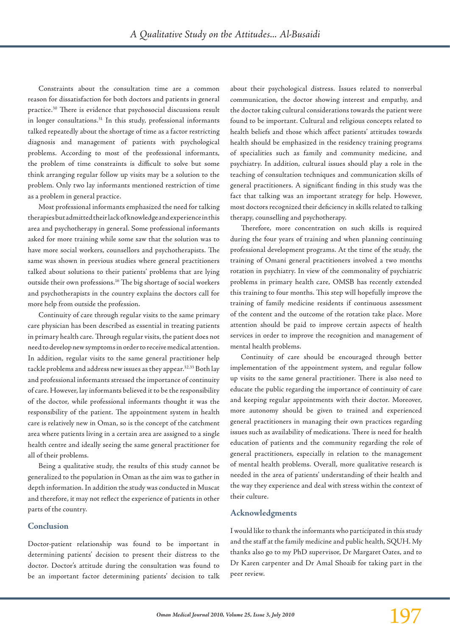Constraints about the consultation time are a common reason for dissatisfaction for both doctors and patients in general practice.30 There is evidence that psychosocial discussions result in longer consultations.<sup>31</sup> In this study, professional informants talked repeatedly about the shortage of time as a factor restricting diagnosis and management of patients with psychological problems. According to most of the professional informants, the problem of time constraints is difficult to solve but some think arranging regular follow up visits may be a solution to the problem. Only two lay informants mentioned restriction of time as a problem in general practice.

Most professional informants emphasized the need for talking therapies but admitted their lack of knowledge and experience in this area and psychotherapy in general. Some professional informants asked for more training while some saw that the solution was to have more social workers, counsellors and psychotherapists. The same was shown in previous studies where general practitioners talked about solutions to their patients' problems that are lying outside their own professions.16 The big shortage of social workers and psychotherapists in the country explains the doctors call for more help from outside the profession.

Continuity of care through regular visits to the same primary care physician has been described as essential in treating patients in primary health care. Through regular visits, the patient does not need to develop new symptoms in order to receive medical attention. In addition, regular visits to the same general practitioner help tackle problems and address new issues as they appear.32,33 Both lay and professional informants stressed the importance of continuity of care. However, lay informants believed it to be the responsibility of the doctor, while professional informants thought it was the responsibility of the patient. The appointment system in health care is relatively new in Oman, so is the concept of the catchment area where patients living in a certain area are assigned to a single health centre and ideally seeing the same general practitioner for all of their problems.

Being a qualitative study, the results of this study cannot be generalized to the population in Oman as the aim was to gather in depth information. In addition the study was conducted in Muscat and therefore, it may not reflect the experience of patients in other parts of the country.

## **Conclusion**

Doctor-patient relationship was found to be important in determining patients' decision to present their distress to the doctor. Doctor's attitude during the consultation was found to be an important factor determining patients' decision to talk

about their psychological distress. Issues related to nonverbal communication, the doctor showing interest and empathy, and the doctor taking cultural considerations towards the patient were found to be important. Cultural and religious concepts related to health beliefs and those which affect patients' attitudes towards health should be emphasized in the residency training programs of specialities such as family and community medicine, and psychiatry. In addition, cultural issues should play a role in the teaching of consultation techniques and communication skills of general practitioners. A significant finding in this study was the fact that talking was an important strategy for help. However, most doctors recognized their deficiency in skills related to talking therapy, counselling and psychotherapy.

Therefore, more concentration on such skills is required during the four years of training and when planning continuing professional development programs. At the time of the study, the training of Omani general practitioners involved a two months rotation in psychiatry. In view of the commonality of psychiatric problems in primary health care, OMSB has recently extended this training to four months. This step will hopefully improve the training of family medicine residents if continuous assessment of the content and the outcome of the rotation take place. More attention should be paid to improve certain aspects of health services in order to improve the recognition and management of mental health problems.

Continuity of care should be encouraged through better implementation of the appointment system, and regular follow up visits to the same general practitioner. There is also need to educate the public regarding the importance of continuity of care and keeping regular appointments with their doctor. Moreover, more autonomy should be given to trained and experienced general practitioners in managing their own practices regarding issues such as availability of medications. There is need for health education of patients and the community regarding the role of general practitioners, especially in relation to the management of mental health problems. Overall, more qualitative research is needed in the area of patients' understanding of their health and the way they experience and deal with stress within the context of their culture.

#### **Acknowledgments**

I would like to thank the informants who participated in this study and the staff at the family medicine and public health, SQUH. My thanks also go to my PhD supervisor, Dr Margaret Oates, and to Dr Karen carpenter and Dr Amal Shoaib for taking part in the peer review.